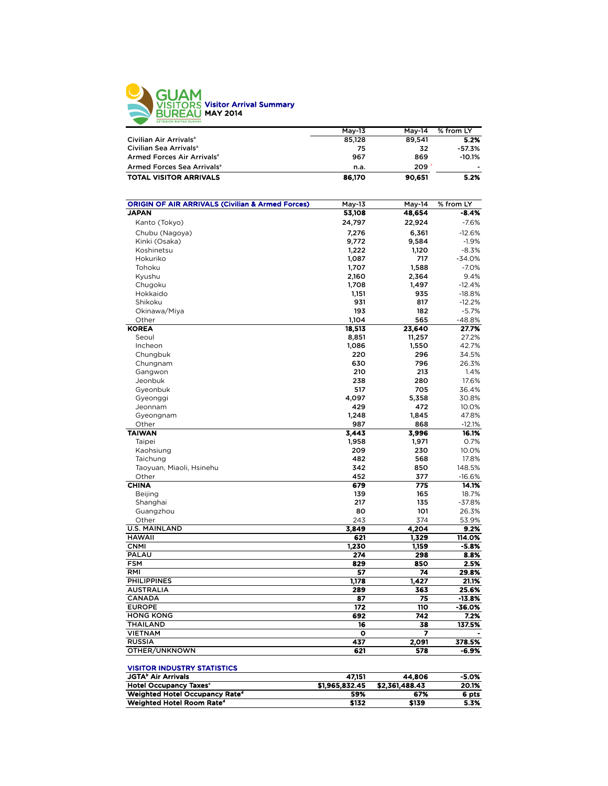

|                                        | Mav-13 | May-14 | % from LY |
|----------------------------------------|--------|--------|-----------|
| Civilian Air Arrivals <sup>a</sup>     | 85,128 | 89.541 | 5.2%      |
| Civilian Sea Arrivals <sup>a</sup>     | 75     | 32     | $-57.3%$  |
| Armed Forces Air Arrivals <sup>a</sup> | 967    | 869    | $-10.1%$  |
| Armed Forces Sea Arrivals <sup>a</sup> | n.a.   | 209    | ٠         |
| <b>TOTAL VISITOR ARRIVALS</b>          | 86,170 | 90.651 | 5.2%      |

| <b>ORIGIN OF AIR ARRIVALS (Civilian &amp; Armed Forces)</b> | May-13         | May-14         | % from LY |
|-------------------------------------------------------------|----------------|----------------|-----------|
| <b>JAPAN</b>                                                | 53,108         | 48,654         | -8.4%     |
| Kanto (Tokyo)                                               | 24,797         | 22,924         | $-7.6%$   |
| Chubu (Nagoya)                                              | 7,276          | 6,361          | $-12.6%$  |
| Kinki (Osaka)                                               | 9,772          | 9,584          | $-1.9%$   |
| Koshinetsu                                                  | 1,222          | 1,120          | $-8.3%$   |
| Hokuriko                                                    | 1,087          | 717            | -34.0%    |
| Tohoku                                                      | 1,707          | 1,588          | $-7.0%$   |
| Kyushu                                                      | 2,160          | 2,364          | 9.4%      |
| Chugoku                                                     | 1,708          | 1,497          | $-12.4%$  |
| Hokkaido                                                    | 1,151          | 935            | $-18.8%$  |
| Shikoku                                                     | 931            | 817            | $-12.2%$  |
| Okinawa/Miya                                                | 193            | 182            | $-5.7%$   |
| Other                                                       | 1,104          | 565            | -48.8%    |
| <b>KOREA</b>                                                | 18,513         | 23,640         | 27.7%     |
| Seoul                                                       | 8,851          | 11,257         | 27.2%     |
| Incheon                                                     | 1,086          | 1,550          | 42.7%     |
| Chungbuk                                                    | 220            | 296            | 34.5%     |
| Chungnam                                                    | 630            | 796            | 26.3%     |
| Gangwon                                                     | 210            | 213            | 1.4%      |
| Jeonbuk                                                     | 238            | 280            | 17.6%     |
| Gyeonbuk                                                    | 517            | 705            | 36.4%     |
| Gyeonggi                                                    | 4,097          | 5,358          | 30.8%     |
| Jeonnam                                                     | 429            | 472            | 10.0%     |
| Gyeongnam                                                   | 1,248          | 1,845          | 47.8%     |
| Other                                                       | 987            | 868            | $-12.1%$  |
| <b>TAIWAN</b>                                               | 3,443          | 3,996          | 16.1%     |
| Taipei                                                      | 1,958          | 1,971          | 0.7%      |
| Kaohsiung                                                   | 209            | 230            | 10.0%     |
| Taichung                                                    | 482            | 568            | 17.8%     |
| Taoyuan, Miaoli, Hsinehu                                    | 342            | 850            | 148.5%    |
| Other                                                       | 452            | 377            | $-16.6%$  |
| <b>CHINA</b>                                                | 679            | 775            | 14.1%     |
| Beijing                                                     | 139            | 165            | 18.7%     |
| Shanghai                                                    | 217            | 135            | $-37.8%$  |
| Guangzhou                                                   | 80             | 101            | 26.3%     |
| Other                                                       | 243            | 374            | 53.9%     |
| <b>U.S. MAINLAND</b>                                        | 3.849          | 4.204          | 9.2%      |
| <b>HAWAII</b>                                               | 621            | 1,329          | 114.0%    |
| <b>CNMI</b>                                                 | 1.230          | 1,159          | $-5.8%$   |
| PALAU                                                       | 274            | 298            | 8.8%      |
| <b>FSM</b>                                                  | 829            | 850            | 2.5%      |
| RMI                                                         | 57             | 74             | 29.8%     |
| <b>PHILIPPINES</b>                                          | 1,178          | 1,427          | 21.1%     |
| <b>AUSTRALIA</b>                                            | 289            | 363            | 25.6%     |
| CANADA                                                      | 87             | 75             | $-13.8%$  |
| <b>EUROPE</b>                                               | 172            | 110            | -36.0%    |
| <b>HONG KONG</b>                                            | 692            | 742            | 7.2%      |
| <b>THAILAND</b>                                             | 16             | 38             | 137.5%    |
| <b>VIETNAM</b>                                              | o              | 7              |           |
| <b>RUSSIA</b>                                               | 437            | 2,091          | 378.5%    |
| OTHER/UNKNOWN                                               | 621            | 578            | -6.9%     |
| <b>VISITOR INDUSTRY STATISTICS</b>                          |                |                |           |
| <b>JGTA<sup>b</sup> Air Arrivals</b>                        | 47,151         | 44,806         | $-5.0%$   |
| <b>Hotel Occupancy Taxes<sup>c</sup></b>                    | \$1,965,832.45 | \$2,361,488.43 | 20.1%     |
| Weighted Hotel Occupancy Rate <sup>d</sup>                  | 59%            | 67%            | 6 pts     |
| Weighted Hotel Room Rate <sup>d</sup>                       | \$132          | \$139          | 5.3%      |
|                                                             |                |                |           |